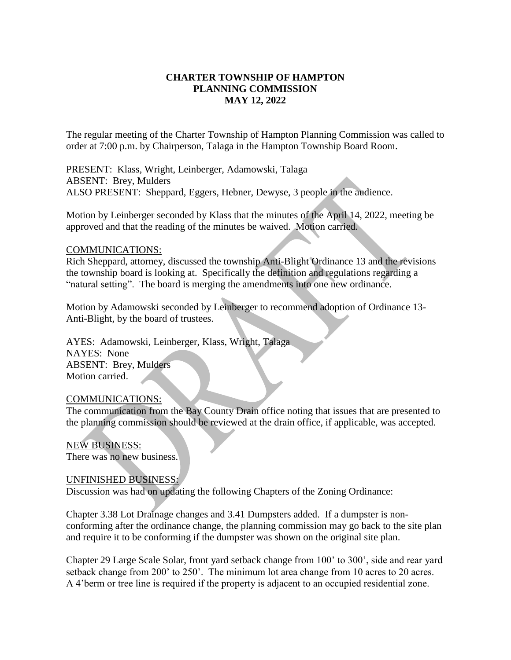# **CHARTER TOWNSHIP OF HAMPTON PLANNING COMMISSION MAY 12, 2022**

The regular meeting of the Charter Township of Hampton Planning Commission was called to order at 7:00 p.m. by Chairperson, Talaga in the Hampton Township Board Room.

PRESENT: Klass, Wright, Leinberger, Adamowski, Talaga ABSENT: Brey, Mulders ALSO PRESENT: Sheppard, Eggers, Hebner, Dewyse, 3 people in the audience.

Motion by Leinberger seconded by Klass that the minutes of the April 14, 2022, meeting be approved and that the reading of the minutes be waived. Motion carried.

#### COMMUNICATIONS:

Rich Sheppard, attorney, discussed the township Anti-Blight Ordinance 13 and the revisions the township board is looking at. Specifically the definition and regulations regarding a "natural setting". The board is merging the amendments into one new ordinance.

Motion by Adamowski seconded by Leinberger to recommend adoption of Ordinance 13- Anti-Blight, by the board of trustees.

AYES: Adamowski, Leinberger, Klass, Wright, Talaga NAYES: None ABSENT: Brey, Mulders Motion carried.

#### COMMUNICATIONS:

The communication from the Bay County Drain office noting that issues that are presented to the planning commission should be reviewed at the drain office, if applicable, was accepted.

NEW BUSINESS: There was no new business.

### UNFINISHED BUSINESS:

Discussion was had on updating the following Chapters of the Zoning Ordinance:

Chapter 3.38 Lot Drainage changes and 3.41 Dumpsters added. If a dumpster is nonconforming after the ordinance change, the planning commission may go back to the site plan and require it to be conforming if the dumpster was shown on the original site plan.

Chapter 29 Large Scale Solar, front yard setback change from 100' to 300', side and rear yard setback change from 200' to 250'. The minimum lot area change from 10 acres to 20 acres. A 4'berm or tree line is required if the property is adjacent to an occupied residential zone.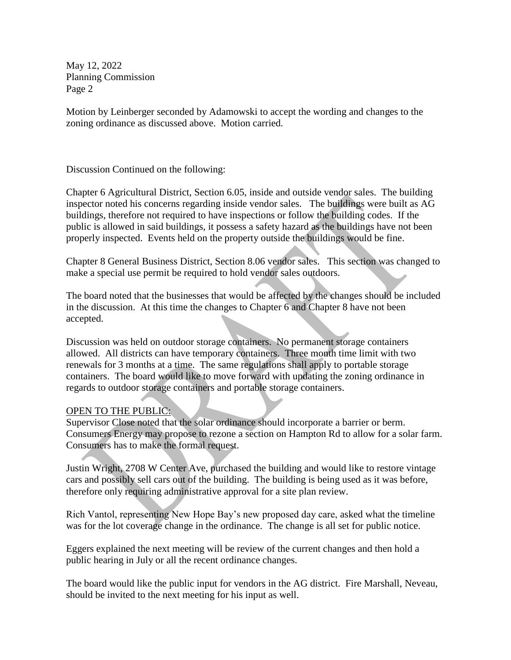May 12, 2022 Planning Commission Page 2

Motion by Leinberger seconded by Adamowski to accept the wording and changes to the zoning ordinance as discussed above. Motion carried.

Discussion Continued on the following:

Chapter 6 Agricultural District, Section 6.05, inside and outside vendor sales. The building inspector noted his concerns regarding inside vendor sales. The buildings were built as AG buildings, therefore not required to have inspections or follow the building codes. If the public is allowed in said buildings, it possess a safety hazard as the buildings have not been properly inspected. Events held on the property outside the buildings would be fine.

Chapter 8 General Business District, Section 8.06 vendor sales. This section was changed to make a special use permit be required to hold vendor sales outdoors.

The board noted that the businesses that would be affected by the changes should be included in the discussion. At this time the changes to Chapter 6 and Chapter 8 have not been accepted.

Discussion was held on outdoor storage containers. No permanent storage containers allowed. All districts can have temporary containers. Three month time limit with two renewals for 3 months at a time. The same regulations shall apply to portable storage containers. The board would like to move forward with updating the zoning ordinance in regards to outdoor storage containers and portable storage containers.

# OPEN TO THE PUBLIC:

Supervisor Close noted that the solar ordinance should incorporate a barrier or berm. Consumers Energy may propose to rezone a section on Hampton Rd to allow for a solar farm. Consumers has to make the formal request.

Justin Wright, 2708 W Center Ave, purchased the building and would like to restore vintage cars and possibly sell cars out of the building. The building is being used as it was before, therefore only requiring administrative approval for a site plan review.

Rich Vantol, representing New Hope Bay's new proposed day care, asked what the timeline was for the lot coverage change in the ordinance. The change is all set for public notice.

Eggers explained the next meeting will be review of the current changes and then hold a public hearing in July or all the recent ordinance changes.

The board would like the public input for vendors in the AG district. Fire Marshall, Neveau, should be invited to the next meeting for his input as well.